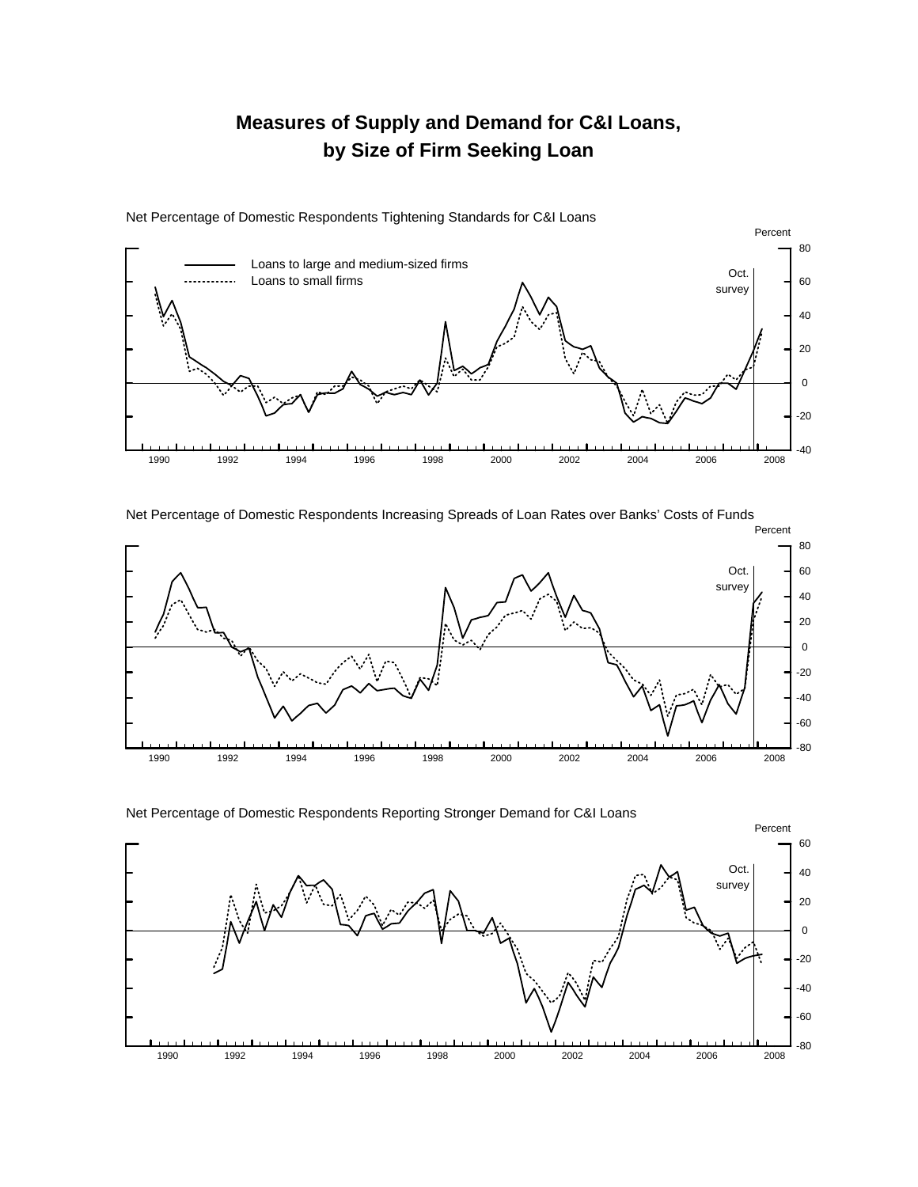## **Measures of Supply and Demand for C&I Loans, by Size of Firm Seeking Loan**



Net Percentage of Domestic Respondents Tightening Standards for C&I Loans

Net Percentage of Domestic Respondents Increasing Spreads of Loan Rates over Banks' Costs of Funds



Net Percentage of Domestic Respondents Reporting Stronger Demand for C&I Loans

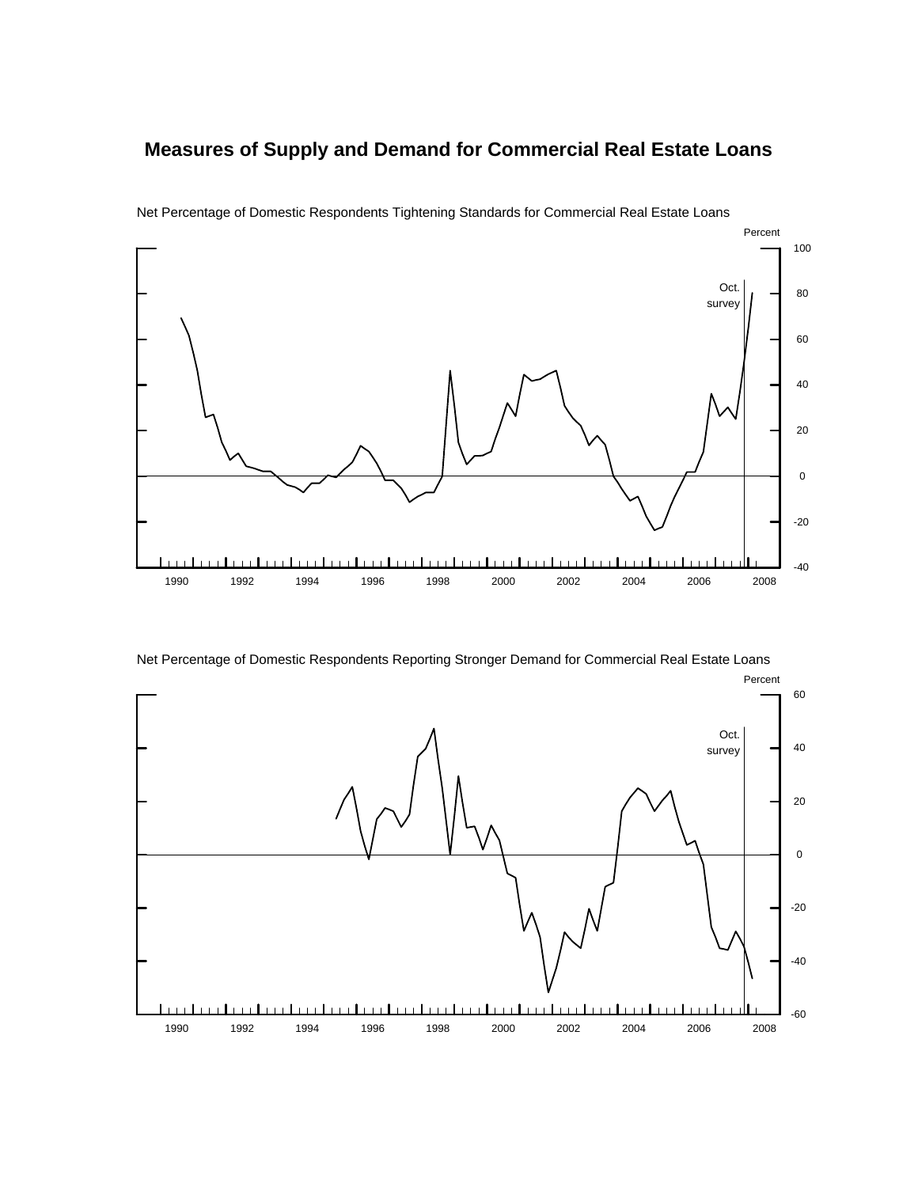## **Measures of Supply and Demand for Commercial Real Estate Loans**



Net Percentage of Domestic Respondents Tightening Standards for Commercial Real Estate Loans

Net Percentage of Domestic Respondents Reporting Stronger Demand for Commercial Real Estate Loans

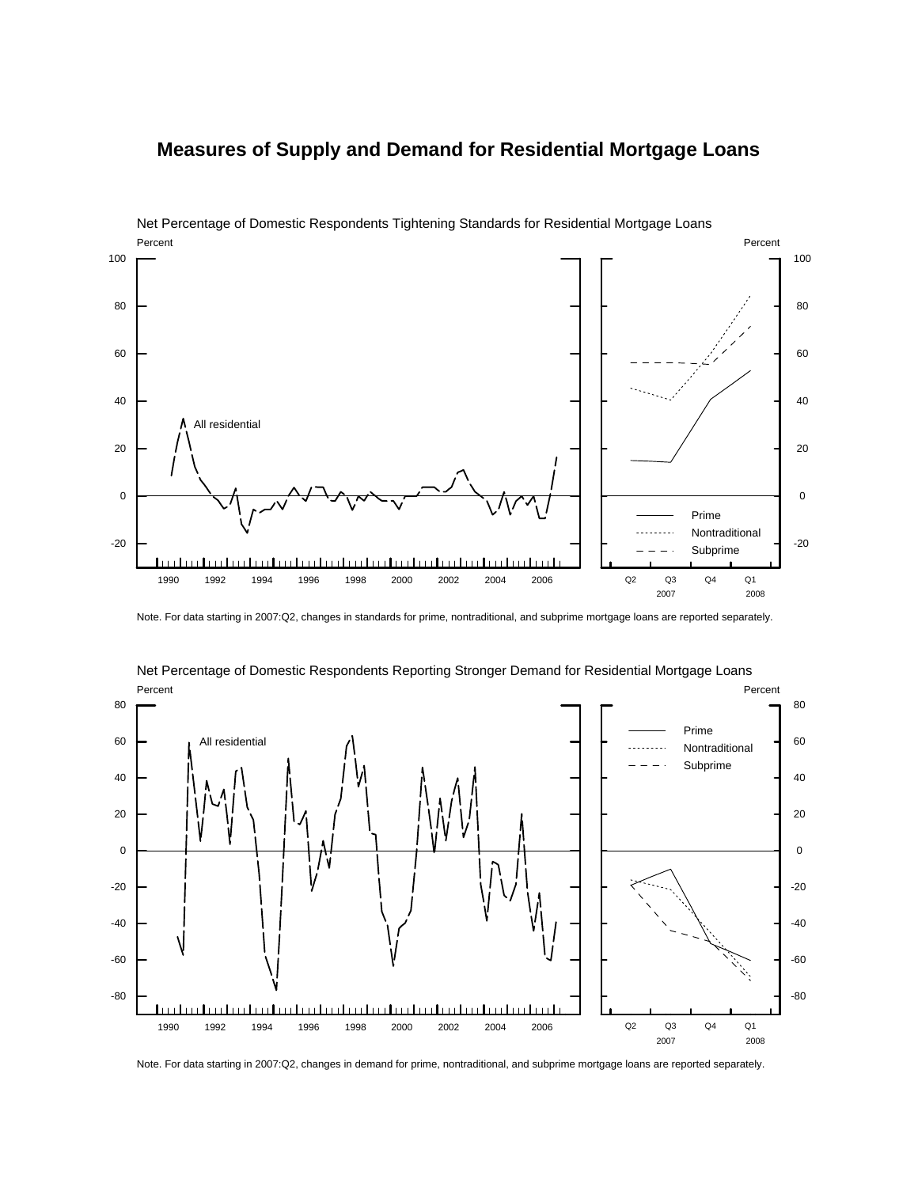## **Measures of Supply and Demand for Residential Mortgage Loans**



Net Percentage of Domestic Respondents Tightening Standards for Residential Mortgage Loans

Note. For data starting in 2007:Q2, changes in standards for prime, nontraditional, and subprime mortgage loans are reported separately.



Net Percentage of Domestic Respondents Reporting Stronger Demand for Residential Mortgage Loans

Note. For data starting in 2007:Q2, changes in demand for prime, nontraditional, and subprime mortgage loans are reported separately.